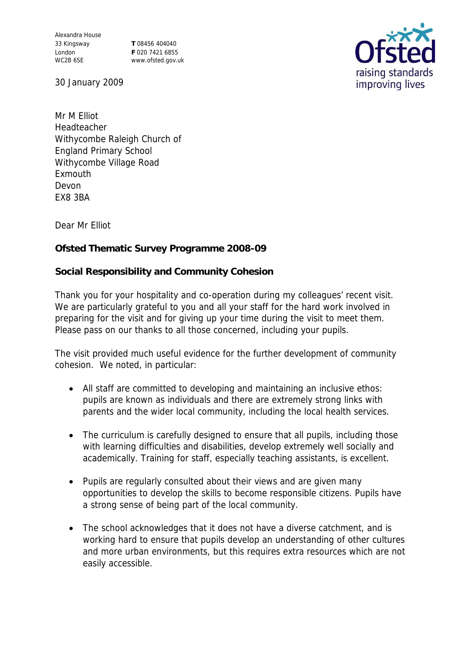Alexandra House 33 Kingsway London WC2B 6SE

**T** 08456 404040 **F** 020 7421 6855 www.ofsted.gov.uk



30 January 2009

Mr M Elliot Headteacher Withycombe Raleigh Church of England Primary School Withycombe Village Road Exmouth Devon EX8 3BA

Dear Mr Elliot

**Ofsted Thematic Survey Programme 2008-09**

**Social Responsibility and Community Cohesion**

Thank you for your hospitality and co-operation during my colleagues' recent visit. We are particularly grateful to you and all your staff for the hard work involved in preparing for the visit and for giving up your time during the visit to meet them. Please pass on our thanks to all those concerned, including your pupils.

The visit provided much useful evidence for the further development of community cohesion. We noted, in particular:

- All staff are committed to developing and maintaining an inclusive ethos: pupils are known as individuals and there are extremely strong links with parents and the wider local community, including the local health services.
- The curriculum is carefully designed to ensure that all pupils, including those with learning difficulties and disabilities, develop extremely well socially and academically. Training for staff, especially teaching assistants, is excellent.
- Pupils are regularly consulted about their views and are given many opportunities to develop the skills to become responsible citizens. Pupils have a strong sense of being part of the local community.
- The school acknowledges that it does not have a diverse catchment, and is working hard to ensure that pupils develop an understanding of other cultures and more urban environments, but this requires extra resources which are not easily accessible.